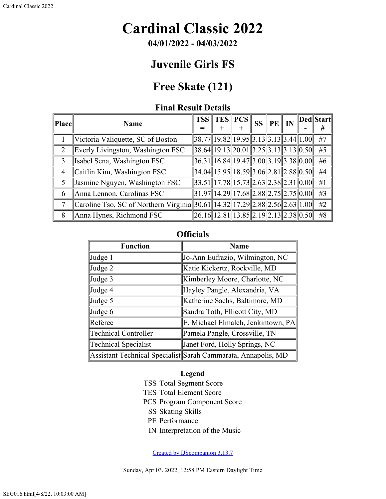# **Cardinal Classic 2022**

**04/01/2022 - 04/03/2022**

## **Juvenile Girls FS**

## **Free Skate (121)**

#### **Final Result Details**

| Place | <b>Name</b>                                                                 |                                                                                                                                                  | $TSS$ $TES$ $PCS$ $\parallel$ |  | $SS \nVert PE \nVert IN$ |  | Ded  Start |
|-------|-----------------------------------------------------------------------------|--------------------------------------------------------------------------------------------------------------------------------------------------|-------------------------------|--|--------------------------|--|------------|
|       |                                                                             |                                                                                                                                                  | $\pm$                         |  |                          |  | #          |
|       | Victoria Valiquette, SC of Boston                                           | $\ 38.77\ 19.82\ 19.95\ 3.13\ 3.13\ 3.44\ 1.00\ $                                                                                                |                               |  |                          |  | #7         |
| 2     | Everly Livingston, Washington FSC                                           | $\ 38.64\ 19.13\ 20.01\ 3.25\ 3.13\ 3.13\ 0.50\ $                                                                                                |                               |  |                          |  | #5         |
| 3     | Isabel Sena, Washington FSC                                                 | $\ 36.31\ 16.84\ 19.47\ 3.00\ 3.19\ 3.38\ 0.00\ $                                                                                                |                               |  |                          |  | #6         |
| 4     | Caitlin Kim, Washington FSC                                                 | $\ 34.04\ 15.95\ 18.59\ 3.06\ 2.81\ 2.88\ 0.50\ $                                                                                                |                               |  |                          |  | #4         |
| 5     | Jasmine Nguyen, Washington FSC                                              | $\sqrt{33.51}$   17.78  15.73  2.63  2.38  2.31  0.00                                                                                            |                               |  |                          |  | #1         |
| 6     | Anna Lennon, Carolinas FSC                                                  | $\left 31.97\right \!\left 14.29\right \!\left 17.68\right \!\left 2.88\right \!\left 2.75\right \!\left 2.75\right \!\left 0.00\right \!\left $ |                               |  |                          |  | #3         |
|       | Caroline Tso, SC of Northern Virginia 30.61 14.32 17.29 2.88 2.56 2.63 1.00 |                                                                                                                                                  |                               |  |                          |  | #2         |
| 8     | Anna Hynes, Richmond FSC                                                    | $\ 26.16\ 12.81\ 13.85\ 2.19\ 2.13\ 2.38\ 0.50\ $                                                                                                |                               |  |                          |  | #8         |

### **Officials**

| <b>Function</b>             | <b>Name</b>                                                   |  |  |  |  |
|-----------------------------|---------------------------------------------------------------|--|--|--|--|
| $\vert$ Judge 1             | Jo-Ann Eufrazio, Wilmington, NC                               |  |  |  |  |
| Judge 2                     | Katie Kickertz, Rockville, MD                                 |  |  |  |  |
| $\vert$ Judge 3             | Kimberley Moore, Charlotte, NC                                |  |  |  |  |
| Judge 4                     | Hayley Pangle, Alexandria, VA                                 |  |  |  |  |
| Judge 5                     | Katherine Sachs, Baltimore, MD                                |  |  |  |  |
| Judge 6                     | Sandra Toth, Ellicott City, MD                                |  |  |  |  |
| Referee                     | E. Michael Elmaleh, Jenkintown, PA                            |  |  |  |  |
| <b>Technical Controller</b> | Pamela Pangle, Crossville, TN                                 |  |  |  |  |
| Technical Specialist        | Janet Ford, Holly Springs, NC                                 |  |  |  |  |
|                             | Assistant Technical Specialist Sarah Cammarata, Annapolis, MD |  |  |  |  |

#### **Legend**

- TSS Total Segment Score
- TES Total Element Score
- PCS Program Component Score
	- SS Skating Skills
	- PE Performance
	- IN Interpretation of the Music

[Created by IJScompanion 3.13.7](http://www.usfigureskating.org/)